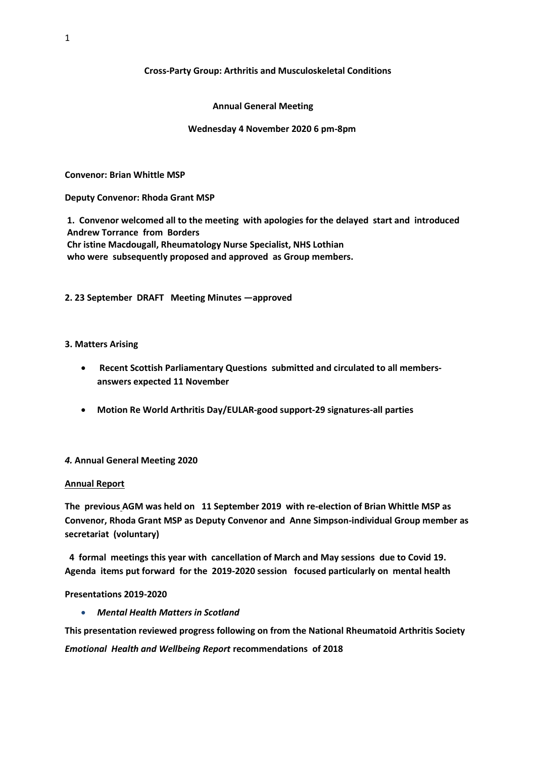### **Cross-Party Group: Arthritis and Musculoskeletal Conditions**

### **Annual General Meeting**

### **Wednesday 4 November 2020 6 pm-8pm**

**Convenor: Brian Whittle MSP**

**Deputy Convenor: Rhoda Grant MSP**

**1. Convenor welcomed all to the meeting with apologies for the delayed start and introduced Andrew Torrance from Borders Chr istine Macdougall, Rheumatology Nurse Specialist, NHS Lothian who were subsequently proposed and approved as Group members.**

**2. 23 September DRAFT Meeting Minutes —approved**

#### **3. Matters Arising**

- **Recent Scottish Parliamentary Questions submitted and circulated to all membersanswers expected 11 November**
- **Motion Re World Arthritis Day/EULAR-good support-29 signatures-all parties**

### *4.* **Annual General Meeting 2020**

#### **Annual Report**

**The previous AGM was held on 11 September 2019 with re-election of Brian Whittle MSP as Convenor, Rhoda Grant MSP as Deputy Convenor and Anne Simpson-individual Group member as secretariat (voluntary)**

**4 formal meetings this year with cancellation of March and May sessions due to Covid 19. Agenda items put forward for the 2019-2020 session focused particularly on mental health**

#### **Presentations 2019-2020**

• *Mental Health Matters in Scotland*

**This presentation reviewed progress following on from the National Rheumatoid Arthritis Society**  *Emotional Health and Wellbeing Report* **recommendations of 2018**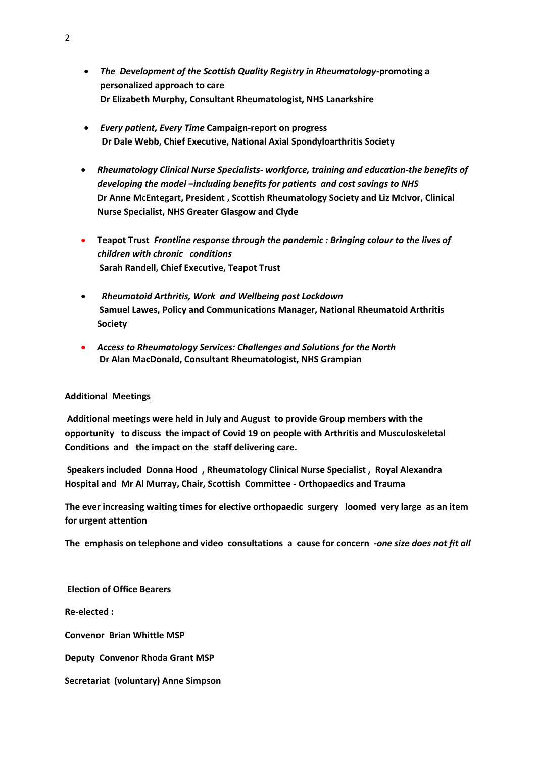- *The Development of the Scottish Quality Registry in Rheumatology-***promoting a personalized approach to care Dr Elizabeth Murphy, Consultant Rheumatologist, NHS Lanarkshire**
- *Every patient, Every Time* **Campaign-report on progress Dr Dale Webb, Chief Executive, National Axial Spondyloarthritis Society**
- *Rheumatology Clinical Nurse Specialists- workforce, training and education-the benefits of developing the model –including benefits for patients and cost savings to NHS* **Dr Anne McEntegart, President , Scottish Rheumatology Society and Liz McIvor, Clinical Nurse Specialist, NHS Greater Glasgow and Clyde**
- **Teapot Trust** *Frontline response through the pandemic : Bringing colour to the lives of children with chronic conditions*  **Sarah Randell, Chief Executive, Teapot Trust**
- •*Rheumatoid Arthritis, Work and Wellbeing post Lockdown* **Samuel Lawes, Policy and Communications Manager, National Rheumatoid Arthritis Society**
- *Access to Rheumatology Services: Challenges and Solutions for the North* **Dr Alan MacDonald, Consultant Rheumatologist, NHS Grampian**

### **Additional Meetings**

**Additional meetings were held in July and August to provide Group members with the opportunity to discuss the impact of Covid 19 on people with Arthritis and Musculoskeletal Conditions and the impact on the staff delivering care.**

**Speakers included Donna Hood , Rheumatology Clinical Nurse Specialist , Royal Alexandra Hospital and Mr Al Murray, Chair, Scottish Committee - Orthopaedics and Trauma**

**The ever increasing waiting times for elective orthopaedic surgery loomed very large as an item for urgent attention** 

**The emphasis on telephone and video consultations a cause for concern -***one size does not fit all*

### **Election of Office Bearers**

**Re-elected :**

**Convenor Brian Whittle MSP**

**Deputy Convenor Rhoda Grant MSP**

**Secretariat (voluntary) Anne Simpson**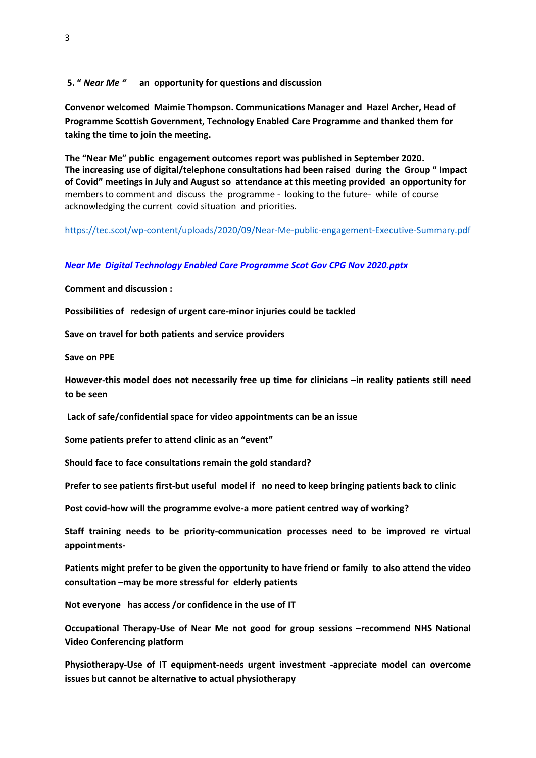**5. "** *Near Me "* **an opportunity for questions and discussion** 

**Convenor welcomed Maimie Thompson. Communications Manager and Hazel Archer, Head of Programme Scottish Government, Technology Enabled Care Programme and thanked them for taking the time to join the meeting.**

**The "Near Me" public engagement outcomes report was published in September 2020. The increasing use of digital/telephone consultations had been raised during the Group " Impact of Covid" meetings in July and August so attendance at this meeting provided an opportunity for** members to comment and discuss the programme - looking to the future- while of course acknowledging the current covid situation and priorities.

<https://tec.scot/wp-content/uploads/2020/09/Near-Me-public-engagement-Executive-Summary.pdf>

#### *[Near Me Digital Technology Enabled Care Programme Scot Gov CPG Nov 2020.pptx](Near%20Me%20%20Digital%20Technology%20Enabled%20Care%20Programme%20Scot%20Gov%20CPG%20Nov%202020.pptx)*

**Comment and discussion :**

**Possibilities of redesign of urgent care-minor injuries could be tackled**

**Save on travel for both patients and service providers**

**Save on PPE**

**However-this model does not necessarily free up time for clinicians –in reality patients still need to be seen**

**Lack of safe/confidential space for video appointments can be an issue**

**Some patients prefer to attend clinic as an "event"**

**Should face to face consultations remain the gold standard?**

**Prefer to see patients first-but useful model if no need to keep bringing patients back to clinic** 

**Post covid-how will the programme evolve-a more patient centred way of working?**

**Staff training needs to be priority-communication processes need to be improved re virtual appointments-**

**Patients might prefer to be given the opportunity to have friend or family to also attend the video consultation –may be more stressful for elderly patients** 

**Not everyone has access /or confidence in the use of IT**

**Occupational Therapy-Use of Near Me not good for group sessions –recommend NHS National Video Conferencing platform**

**Physiotherapy-Use of IT equipment-needs urgent investment -appreciate model can overcome issues but cannot be alternative to actual physiotherapy**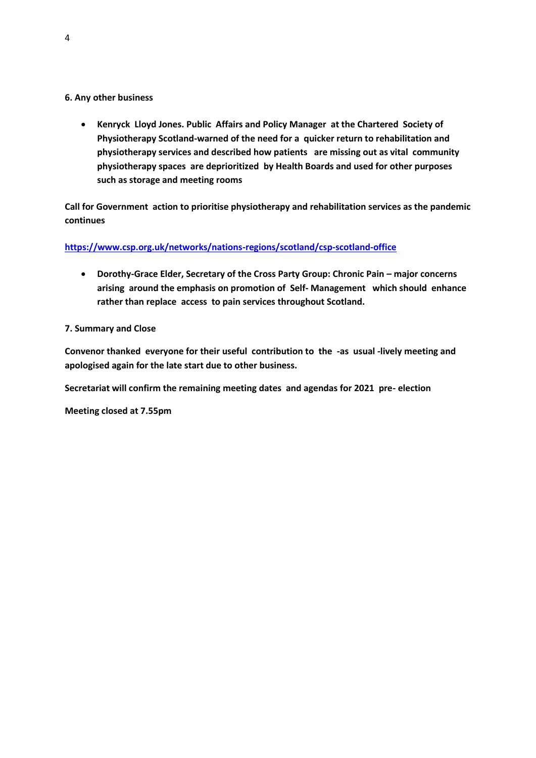# **6. Any other business**

• **Kenryck Lloyd Jones. Public Affairs and Policy Manager at the Chartered Society of Physiotherapy Scotland-warned of the need for a quicker return to rehabilitation and physiotherapy services and described how patients are missing out as vital community physiotherapy spaces are deprioritized by Health Boards and used for other purposes such as storage and meeting rooms** 

**Call for Government action to prioritise physiotherapy and rehabilitation services as the pandemic continues**

# **<https://www.csp.org.uk/networks/nations-regions/scotland/csp-scotland-office>**

• Dorothy-Grace Elder, Secretary of the Cross Party Group: Chronic Pain – major concerns **arising around the emphasis on promotion of Self- Management which should enhance rather than replace access to pain services throughout Scotland.** 

## **7. Summary and Close**

**Convenor thanked everyone for their useful contribution to the -as usual -lively meeting and apologised again for the late start due to other business.**

**Secretariat will confirm the remaining meeting dates and agendas for 2021 pre- election**

**Meeting closed at 7.55pm**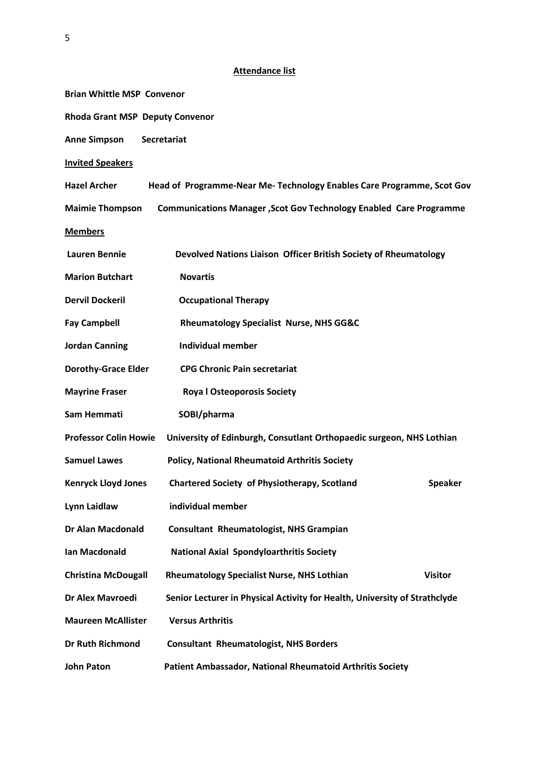|                                        | <b>Attendance list</b>                                                    |  |
|----------------------------------------|---------------------------------------------------------------------------|--|
| <b>Brian Whittle MSP Convenor</b>      |                                                                           |  |
| <b>Rhoda Grant MSP Deputy Convenor</b> |                                                                           |  |
| <b>Anne Simpson</b>                    | <b>Secretariat</b>                                                        |  |
| <b>Invited Speakers</b>                |                                                                           |  |
| <b>Hazel Archer</b>                    | Head of Programme-Near Me- Technology Enables Care Programme, Scot Gov    |  |
| <b>Maimie Thompson</b>                 | <b>Communications Manager, Scot Gov Technology Enabled Care Programme</b> |  |
| <b>Members</b>                         |                                                                           |  |
| <b>Lauren Bennie</b>                   | Devolved Nations Liaison Officer British Society of Rheumatology          |  |
| <b>Marion Butchart</b>                 | <b>Novartis</b>                                                           |  |
| <b>Dervil Dockeril</b>                 | <b>Occupational Therapy</b>                                               |  |
| <b>Fay Campbell</b>                    | <b>Rheumatology Specialist Nurse, NHS GG&amp;C</b>                        |  |
| <b>Jordan Canning</b>                  | <b>Individual member</b>                                                  |  |
| <b>Dorothy-Grace Elder</b>             | <b>CPG Chronic Pain secretariat</b>                                       |  |

- **Mayrine Fraser Roya l Osteoporosis Society**
- **Sam Hemmati SOBI/pharma**
- **Professor Colin Howie University of Edinburgh, Consutlant Orthopaedic surgeon, NHS Lothian**
- **Samuel Lawes Policy, National Rheumatoid Arthritis Society**
- **Kenryck Lloyd Jones Chartered Society of Physiotherapy, Scotland Speaker**
- **Lynn Laidlaw individual member**
- **Dr Alan Macdonald Consultant Rheumatologist, NHS Grampian**
- **Ian Macdonald National Axial Spondyloarthritis Society**
- Christina McDougall Rheumatology Specialist Nurse, NHS Lothian Visitor
- **Dr Alex Mavroedi Senior Lecturer in Physical Activity for Health, University of Strathclyde**
- **Maureen McAllister Versus Arthritis**
- **Dr Ruth Richmond Consultant Rheumatologist, NHS Borders**
- **John Paton Patient Ambassador, National Rheumatoid Arthritis Society**